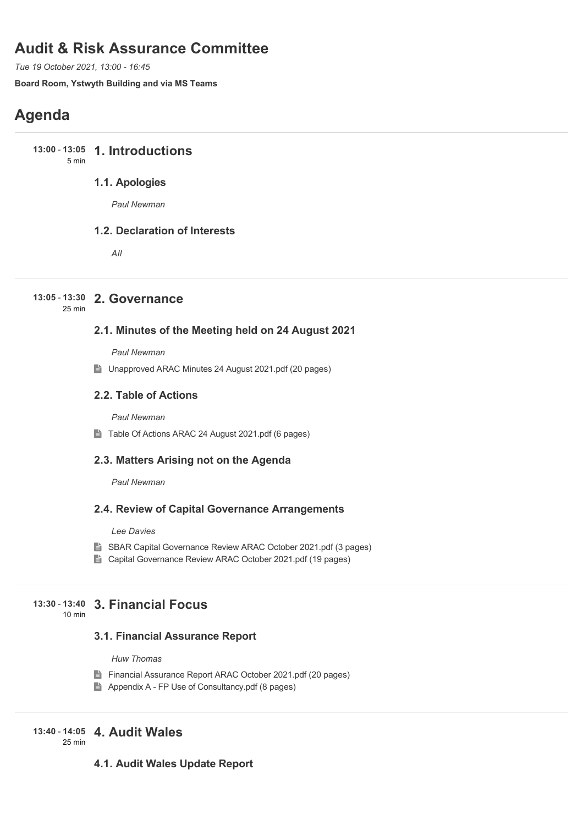# **Audit & Risk Assurance Committee**

*Tue 19 October 2021, 13:00 - 16:45*

**Board Room, Ystwyth Building and via MS Teams**

# **Agenda**

**1. Introductions 13:00** - **13:05** 5 min

### **1.1. Apologies**

*Paul Newman*

### **1.2. Declaration of Interests**

*All*

### **2. Governance 13:05** - **13:30**

25 min

### **2.1. Minutes of the Meeting held on 24 August 2021**

*Paul Newman*

■ Unapproved ARAC Minutes 24 August 2021.pdf (20 pages)

### **2.2. Table of Actions**

*Paul Newman*

■ Table Of Actions ARAC 24 August 2021.pdf (6 pages)

### **2.3. Matters Arising not on the Agenda**

*Paul Newman*

### **2.4. Review of Capital Governance Arrangements**

*Lee Davies*

- SBAR Capital Governance Review ARAC October 2021.pdf (3 pages)
- Capital Governance Review ARAC October 2021.pdf (19 pages)

#### **3. Financial Focus 13:30** - **13:40** 10 min

### **3.1. Financial Assurance Report**

*Huw Thomas*

- Financial Assurance Report ARAC October 2021.pdf (20 pages)
- Appendix A FP Use of Consultancy.pdf (8 pages)

## **4. Audit Wales 13:40** - **14:05**

25 min

### **4.1. Audit Wales Update Report**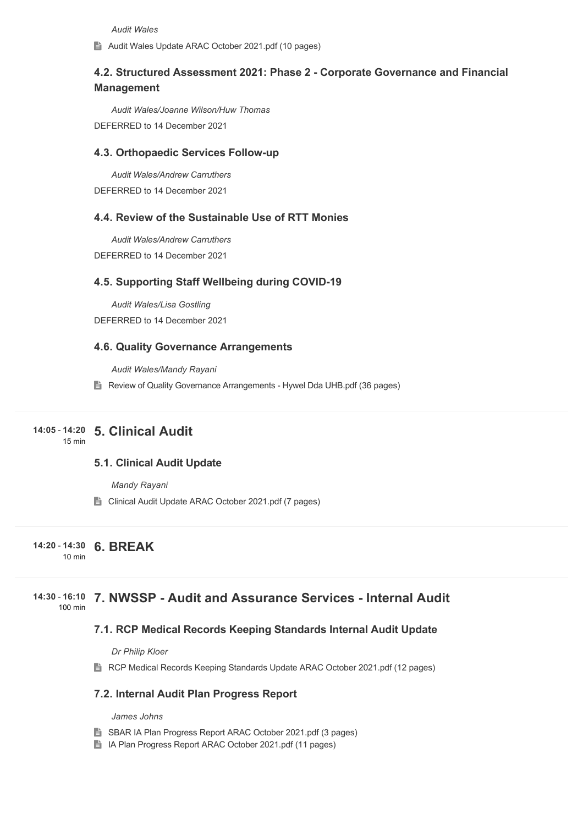*Audit Wales*

Audit Wales Update ARAC October 2021.pdf (10 pages)

### **4.2. Structured Assessment 2021: Phase 2 - Corporate Governance and Financial Management**

*Audit Wales/Joanne Wilson/Huw Thomas* DEFERRED to 14 December 2021

#### **4.3. Orthopaedic Services Follow-up**

*Audit Wales/Andrew Carruthers* DEFERRED to 14 December 2021

#### **4.4. Review of the Sustainable Use of RTT Monies**

*Audit Wales/Andrew Carruthers* DEFERRED to 14 December 2021

#### **4.5. Supporting Staff Wellbeing during COVID-19**

*Audit Wales/Lisa Gostling* DEFERRED to 14 December 2021

### **4.6. Quality Governance Arrangements**

*Audit Wales/Mandy Rayani*

Review of Quality Governance Arrangements - Hywel Dda UHB.pdf (36 pages)

#### **5. Clinical Audit 14:05** - **14:20** 15 min

### **5.1. Clinical Audit Update**

*Mandy Rayani*

■ Clinical Audit Update ARAC October 2021.pdf (7 pages)

#### **6. BREAK 14:20** - **14:30** 10 min

#### **7. NWSSP - Audit and Assurance Services - Internal Audit 14:30** - **16:10** 100 min

#### **7.1. RCP Medical Records Keeping Standards Internal Audit Update**

*Dr Philip Kloer*

**RCP Medical Records Keeping Standards Update ARAC October 2021.pdf (12 pages)** 

### **7.2. Internal Audit Plan Progress Report**

*James Johns*

- SBAR IA Plan Progress Report ARAC October 2021.pdf (3 pages)
- IA Plan Progress Report ARAC October 2021.pdf (11 pages)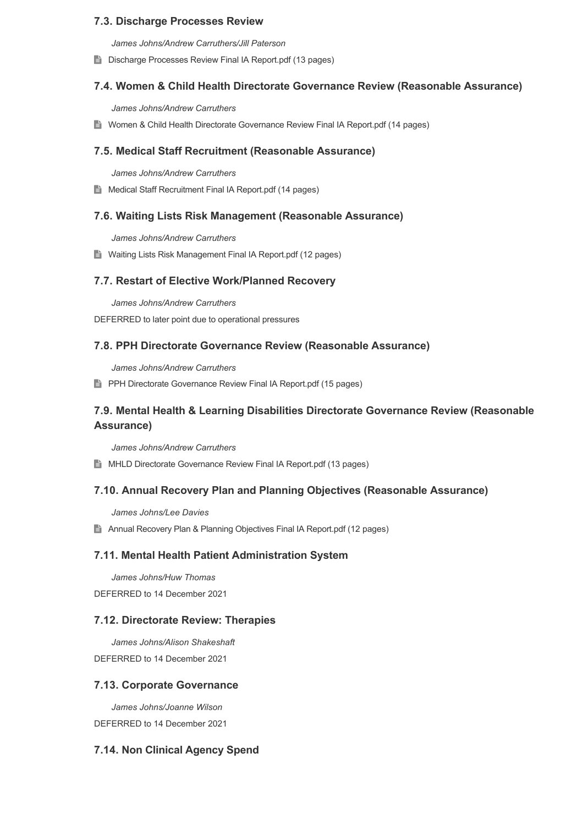### **7.3. Discharge Processes Review**

*James Johns/Andrew Carruthers/Jill Paterson*

**E** Discharge Processes Review Final IA Report.pdf (13 pages)

### **7.4. Women & Child Health Directorate Governance Review (Reasonable Assurance)**

*James Johns/Andrew Carruthers*

■ Women & Child Health Directorate Governance Review Final IA Report.pdf (14 pages)

#### **7.5. Medical Staff Recruitment (Reasonable Assurance)**

*James Johns/Andrew Carruthers*

**E** Medical Staff Recruitment Final IA Report.pdf (14 pages)

### **7.6. Waiting Lists Risk Management (Reasonable Assurance)**

*James Johns/Andrew Carruthers*

■ Waiting Lists Risk Management Final IA Report.pdf (12 pages)

#### **7.7. Restart of Elective Work/Planned Recovery**

*James Johns/Andrew Carruthers*

DEFERRED to later point due to operational pressures

#### **7.8. PPH Directorate Governance Review (Reasonable Assurance)**

*James Johns/Andrew Carruthers*

**PPH Directorate Governance Review Final IA Report.pdf (15 pages)** 

### **7.9. Mental Health & Learning Disabilities Directorate Governance Review (Reasonable Assurance)**

*James Johns/Andrew Carruthers*

**E** MHLD Directorate Governance Review Final IA Report.pdf (13 pages)

#### **7.10. Annual Recovery Plan and Planning Objectives (Reasonable Assurance)**

*James Johns/Lee Davies*

**Annual Recovery Plan & Planning Objectives Final IA Report.pdf (12 pages)** 

#### **7.11. Mental Health Patient Administration System**

*James Johns/Huw Thomas*

DEFERRED to 14 December 2021

### **7.12. Directorate Review: Therapies**

*James Johns/Alison Shakeshaft* DEFERRED to 14 December 2021

#### **7.13. Corporate Governance**

*James Johns/Joanne Wilson* DEFERRED to 14 December 2021

### **7.14. Non Clinical Agency Spend**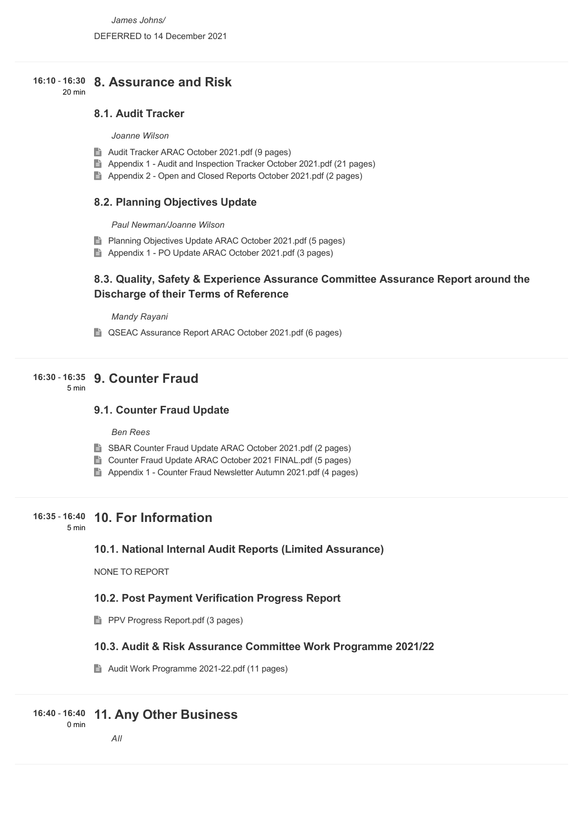#### **8. Assurance and Risk 16:10** - **16:30** 20 min

### **8.1. Audit Tracker**

#### *Joanne Wilson*

- Audit Tracker ARAC October 2021.pdf (9 pages)
- Appendix 1 Audit and Inspection Tracker October 2021.pdf (21 pages)
- Appendix 2 Open and Closed Reports October 2021.pdf (2 pages)

### **8.2. Planning Objectives Update**

*Paul Newman/Joanne Wilson*

- **Planning Objectives Update ARAC October 2021.pdf (5 pages)**
- Appendix 1 PO Update ARAC October 2021.pdf (3 pages)

### **8.3. Quality, Safety & Experience Assurance Committee Assurance Report around the Discharge of their Terms of Reference**

*Mandy Rayani*

**■ QSEAC Assurance Report ARAC October 2021.pdf (6 pages)** 

### **9. Counter Fraud 16:30** - **16:35**

5 min

### **9.1. Counter Fraud Update**

#### *Ben Rees*

- SBAR Counter Fraud Update ARAC October 2021.pdf (2 pages)
- Counter Fraud Update ARAC October 2021 FINAL.pdf (5 pages)
- Appendix 1 Counter Fraud Newsletter Autumn 2021.pdf (4 pages)

### **10. For Information 16:35** - **16:40**

5 min

### **10.1. National Internal Audit Reports (Limited Assurance)**

NONE TO REPORT

### **10.2. Post Payment Verification Progress Report**

**PPV Progress Report.pdf (3 pages)** 

### **10.3. Audit & Risk Assurance Committee Work Programme 2021/22**

Audit Work Programme 2021-22.pdf (11 pages)

#### **11. Any Other Business 16:40** - **16:40** 0 min

# *All*